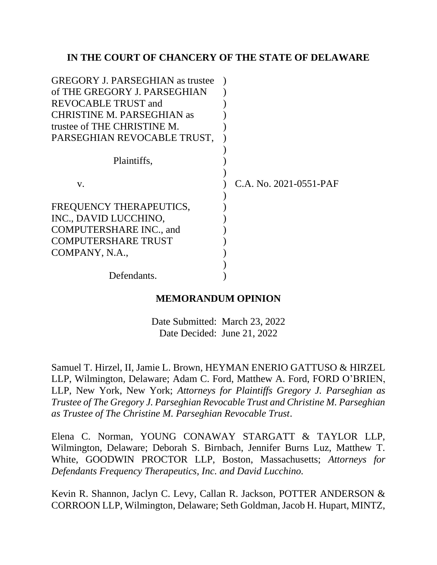## **IN THE COURT OF CHANCERY OF THE STATE OF DELAWARE**

| <b>GREGORY J. PARSEGHIAN</b> as trustee |                        |
|-----------------------------------------|------------------------|
| of THE GREGORY J. PARSEGHIAN            |                        |
| <b>REVOCABLE TRUST and</b>              |                        |
| <b>CHRISTINE M. PARSEGHIAN as</b>       |                        |
| trustee of THE CHRISTINE M.             |                        |
| PARSEGHIAN REVOCABLE TRUST,             |                        |
|                                         |                        |
| Plaintiffs,                             |                        |
|                                         |                        |
| V.                                      | C.A. No. 2021-0551-PAF |
|                                         |                        |
| FREQUENCY THERAPEUTICS,                 |                        |
| INC., DAVID LUCCHINO,                   |                        |
| <b>COMPUTERSHARE INC., and</b>          |                        |
| <b>COMPUTERSHARE TRUST</b>              |                        |
| COMPANY, N.A.,                          |                        |
|                                         |                        |
| Defendants.                             |                        |

### **MEMORANDUM OPINION**

Date Submitted: March 23, 2022 Date Decided: June 21, 2022

Samuel T. Hirzel, II, Jamie L. Brown, HEYMAN ENERIO GATTUSO & HIRZEL LLP, Wilmington, Delaware; Adam C. Ford, Matthew A. Ford, FORD O'BRIEN, LLP, New York, New York; *Attorneys for Plaintiffs Gregory J. Parseghian as Trustee of The Gregory J. Parseghian Revocable Trust and Christine M. Parseghian as Trustee of The Christine M. Parseghian Revocable Trust*.

Elena C. Norman, YOUNG CONAWAY STARGATT & TAYLOR LLP, Wilmington, Delaware; Deborah S. Birnbach, Jennifer Burns Luz, Matthew T. White, GOODWIN PROCTOR LLP, Boston, Massachusetts; *Attorneys for Defendants Frequency Therapeutics, Inc. and David Lucchino.*

Kevin R. Shannon, Jaclyn C. Levy, Callan R. Jackson, POTTER ANDERSON & CORROON LLP, Wilmington, Delaware; Seth Goldman, Jacob H. Hupart, MINTZ,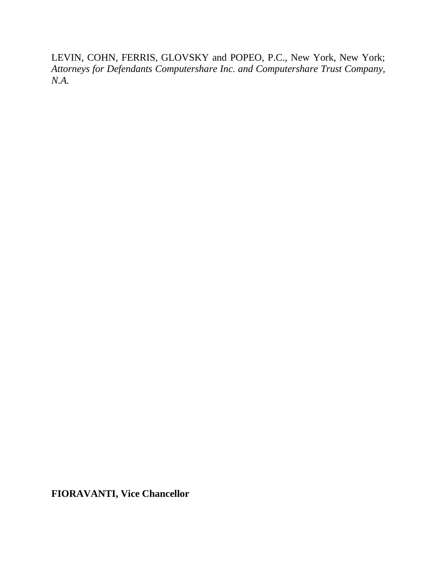LEVIN, COHN, FERRIS, GLOVSKY and POPEO, P.C., New York, New York; *Attorneys for Defendants Computershare Inc. and Computershare Trust Company, N.A.*

**FIORAVANTI, Vice Chancellor**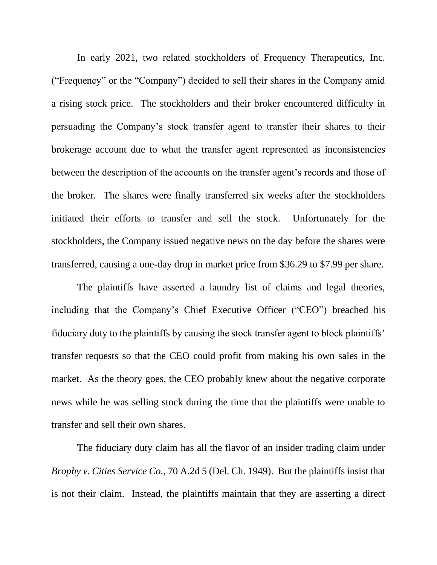In early 2021, two related stockholders of Frequency Therapeutics, Inc. ("Frequency" or the "Company") decided to sell their shares in the Company amid a rising stock price. The stockholders and their broker encountered difficulty in persuading the Company's stock transfer agent to transfer their shares to their brokerage account due to what the transfer agent represented as inconsistencies between the description of the accounts on the transfer agent's records and those of the broker. The shares were finally transferred six weeks after the stockholders initiated their efforts to transfer and sell the stock. Unfortunately for the stockholders, the Company issued negative news on the day before the shares were transferred, causing a one-day drop in market price from \$36.29 to \$7.99 per share.

The plaintiffs have asserted a laundry list of claims and legal theories, including that the Company's Chief Executive Officer ("CEO") breached his fiduciary duty to the plaintiffs by causing the stock transfer agent to block plaintiffs' transfer requests so that the CEO could profit from making his own sales in the market. As the theory goes, the CEO probably knew about the negative corporate news while he was selling stock during the time that the plaintiffs were unable to transfer and sell their own shares.

The fiduciary duty claim has all the flavor of an insider trading claim under *Brophy v. Cities Service Co.*, 70 A.2d 5 (Del. Ch. 1949). But the plaintiffs insist that is not their claim. Instead, the plaintiffs maintain that they are asserting a direct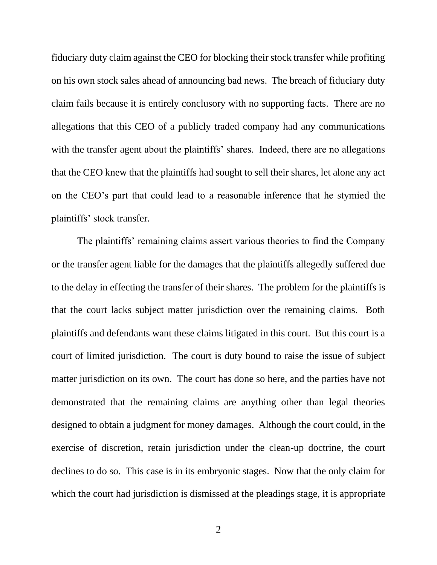fiduciary duty claim against the CEO for blocking their stock transfer while profiting on his own stock sales ahead of announcing bad news. The breach of fiduciary duty claim fails because it is entirely conclusory with no supporting facts. There are no allegations that this CEO of a publicly traded company had any communications with the transfer agent about the plaintiffs' shares. Indeed, there are no allegations that the CEO knew that the plaintiffs had sought to sell their shares, let alone any act on the CEO's part that could lead to a reasonable inference that he stymied the plaintiffs' stock transfer.

The plaintiffs' remaining claims assert various theories to find the Company or the transfer agent liable for the damages that the plaintiffs allegedly suffered due to the delay in effecting the transfer of their shares. The problem for the plaintiffs is that the court lacks subject matter jurisdiction over the remaining claims. Both plaintiffs and defendants want these claims litigated in this court. But this court is a court of limited jurisdiction. The court is duty bound to raise the issue of subject matter jurisdiction on its own. The court has done so here, and the parties have not demonstrated that the remaining claims are anything other than legal theories designed to obtain a judgment for money damages. Although the court could, in the exercise of discretion, retain jurisdiction under the clean-up doctrine, the court declines to do so. This case is in its embryonic stages. Now that the only claim for which the court had jurisdiction is dismissed at the pleadings stage, it is appropriate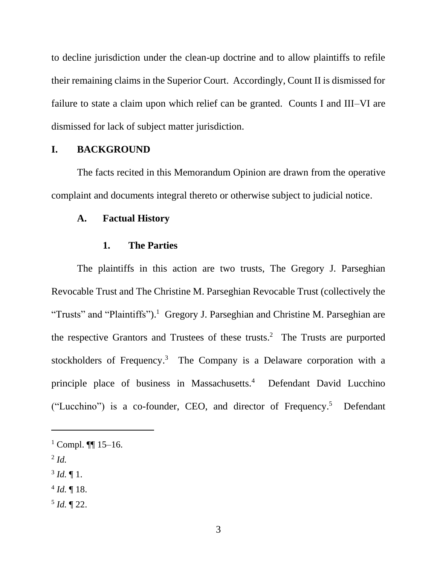to decline jurisdiction under the clean-up doctrine and to allow plaintiffs to refile their remaining claims in the Superior Court. Accordingly, Count II is dismissed for failure to state a claim upon which relief can be granted. Counts I and III–VI are dismissed for lack of subject matter jurisdiction.

### **I. BACKGROUND**

The facts recited in this Memorandum Opinion are drawn from the operative complaint and documents integral thereto or otherwise subject to judicial notice.

### **A. Factual History**

#### **1. The Parties**

The plaintiffs in this action are two trusts, The Gregory J. Parseghian Revocable Trust and The Christine M. Parseghian Revocable Trust (collectively the "Trusts" and "Plaintiffs").<sup>1</sup> Gregory J. Parseghian and Christine M. Parseghian are the respective Grantors and Trustees of these trusts.<sup>2</sup> The Trusts are purported stockholders of Frequency.<sup>3</sup> The Company is a Delaware corporation with a principle place of business in Massachusetts.<sup>4</sup> Defendant David Lucchino ("Lucchino") is a co-founder, CEO, and director of Frequency.<sup>5</sup> Defendant

- 2 *Id.*
- $3$  *Id.*  $\P$  1.
- $4$  *Id.*  $\llbracket$  18.
- 5 *Id.* ¶ 22.

 $1$  Compl. **¶** 15–16.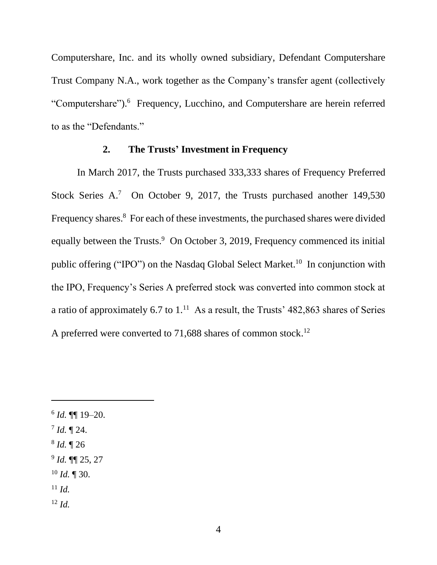Computershare, Inc. and its wholly owned subsidiary, Defendant Computershare Trust Company N.A., work together as the Company's transfer agent (collectively "Computershare").<sup>6</sup> Frequency, Lucchino, and Computershare are herein referred to as the "Defendants."

### **2. The Trusts' Investment in Frequency**

In March 2017, the Trusts purchased 333,333 shares of Frequency Preferred Stock Series A.<sup>7</sup> On October 9, 2017, the Trusts purchased another 149,530 Frequency shares.<sup>8</sup> For each of these investments, the purchased shares were divided equally between the Trusts.<sup>9</sup> On October 3, 2019, Frequency commenced its initial public offering ("IPO") on the Nasdaq Global Select Market.<sup>10</sup> In conjunction with the IPO, Frequency's Series A preferred stock was converted into common stock at a ratio of approximately 6.7 to  $1<sup>11</sup>$  As a result, the Trusts' 482,863 shares of Series A preferred were converted to 71,688 shares of common stock.<sup>12</sup>

<sup>6</sup> *Id.* ¶¶ 19–20. 7 *Id.* ¶ 24. 8 *Id.* ¶ 26 9 *Id.* ¶¶ 25, 27 <sup>10</sup> *Id.* ¶ 30. <sup>11</sup> *Id.* <sup>12</sup> *Id.*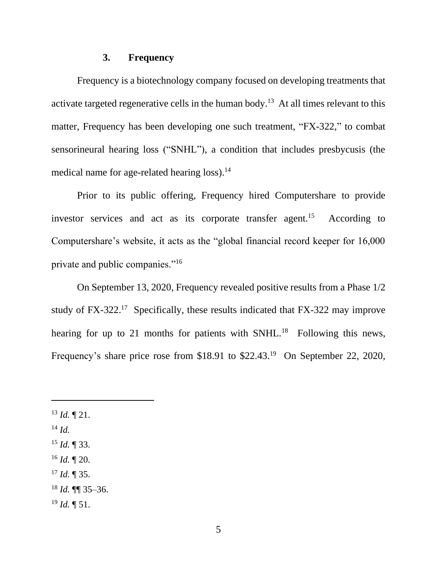### **3. Frequency**

Frequency is a biotechnology company focused on developing treatments that activate targeted regenerative cells in the human body.<sup>13</sup> At all times relevant to this matter, Frequency has been developing one such treatment, "FX-322," to combat sensorineural hearing loss ("SNHL"), a condition that includes presbycusis (the medical name for age-related hearing loss).<sup>14</sup>

Prior to its public offering, Frequency hired Computershare to provide investor services and act as its corporate transfer agent.<sup>15</sup> According to Computershare's website, it acts as the "global financial record keeper for 16,000 private and public companies."<sup>16</sup>

On September 13, 2020, Frequency revealed positive results from a Phase 1/2 study of FX-322.<sup>17</sup> Specifically, these results indicated that FX-322 may improve hearing for up to 21 months for patients with  $SNHL$ <sup>18</sup> Following this news, Frequency's share price rose from \$18.91 to  $$22.43<sup>19</sup>$  On September 22, 2020,

- <sup>13</sup> *Id.* ¶ 21.
- <sup>14</sup> *Id.*
- <sup>15</sup> *Id.* ¶ 33.
- <sup>16</sup> *Id.* ¶ 20.
- $17$  *Id.*  $\sqrt{ }$  35.
- $18$  *Id.* **[[**] 35–36.
- <sup>19</sup> *Id.* ¶ 51.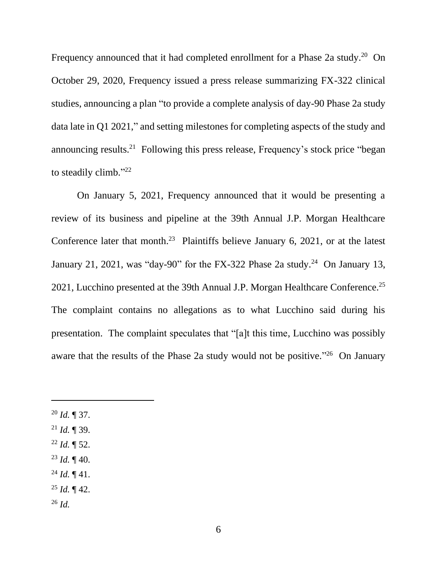Frequency announced that it had completed enrollment for a Phase  $2a$  study.<sup>20</sup> On October 29, 2020, Frequency issued a press release summarizing FX-322 clinical studies, announcing a plan "to provide a complete analysis of day-90 Phase 2a study data late in Q1 2021," and setting milestones for completing aspects of the study and announcing results.<sup>21</sup> Following this press release, Frequency's stock price "began to steadily climb."<sup>22</sup>

On January 5, 2021, Frequency announced that it would be presenting a review of its business and pipeline at the 39th Annual J.P. Morgan Healthcare Conference later that month.<sup>23</sup> Plaintiffs believe January 6, 2021, or at the latest January 21, 2021, was "day-90" for the FX-322 Phase 2a study.<sup>24</sup> On January 13, 2021, Lucchino presented at the 39th Annual J.P. Morgan Healthcare Conference.<sup>25</sup> The complaint contains no allegations as to what Lucchino said during his presentation. The complaint speculates that "[a]t this time, Lucchino was possibly aware that the results of the Phase 2a study would not be positive."<sup>26</sup> On January

- <sup>20</sup> *Id.* ¶ 37.
- $^{21}$  *Id.* ¶ 39.
- $^{22}$  *Id.*  $\sqrt{ }$  52.
- $^{23}$  *Id.*  $\P$  40.
- $^{24}$  *Id.*  $\P$  41.
- <sup>25</sup> *Id.* ¶ 42.
- <sup>26</sup> *Id.*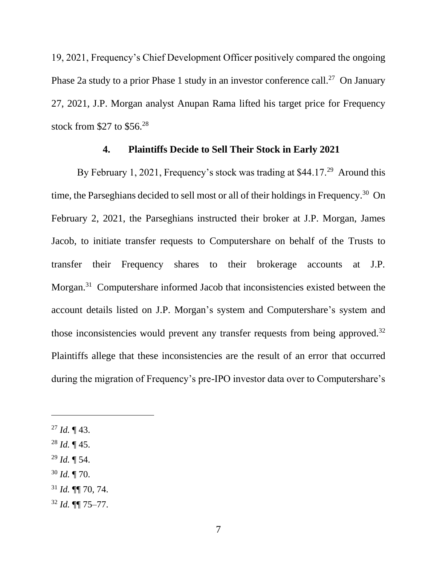19, 2021, Frequency's Chief Development Officer positively compared the ongoing Phase 2a study to a prior Phase 1 study in an investor conference call.<sup>27</sup> On January 27, 2021, J.P. Morgan analyst Anupan Rama lifted his target price for Frequency stock from \$27 to  $$56.<sup>28</sup>$ 

### **4. Plaintiffs Decide to Sell Their Stock in Early 2021**

By February 1, 2021, Frequency's stock was trading at \$44.17.<sup>29</sup> Around this time, the Parseghians decided to sell most or all of their holdings in Frequency.<sup>30</sup> On February 2, 2021, the Parseghians instructed their broker at J.P. Morgan, James Jacob, to initiate transfer requests to Computershare on behalf of the Trusts to transfer their Frequency shares to their brokerage accounts at J.P. Morgan.<sup>31</sup> Computershare informed Jacob that inconsistencies existed between the account details listed on J.P. Morgan's system and Computershare's system and those inconsistencies would prevent any transfer requests from being approved.<sup>32</sup> Plaintiffs allege that these inconsistencies are the result of an error that occurred during the migration of Frequency's pre-IPO investor data over to Computershare's

- <sup>28</sup> *Id.* ¶ 45.
- <sup>29</sup> *Id.* ¶ 54.
- <sup>30</sup> *Id.* ¶ 70.

 $^{27}$  *Id.* ¶ 43.

<sup>31</sup> *Id.* ¶¶ 70, 74.

<sup>32</sup> *Id.* ¶¶ 75–77.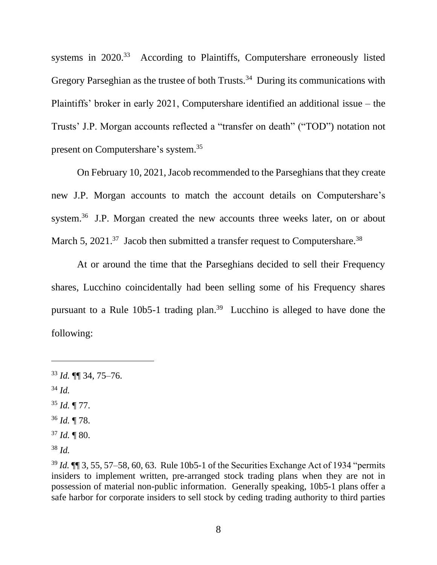systems in 2020.<sup>33</sup> According to Plaintiffs, Computershare erroneously listed Gregory Parseghian as the trustee of both Trusts.<sup>34</sup> During its communications with Plaintiffs' broker in early 2021, Computershare identified an additional issue – the Trusts' J.P. Morgan accounts reflected a "transfer on death" ("TOD") notation not present on Computershare's system.<sup>35</sup>

On February 10, 2021, Jacob recommended to the Parseghians that they create new J.P. Morgan accounts to match the account details on Computershare's system.<sup>36</sup> J.P. Morgan created the new accounts three weeks later, on or about March 5, 2021.<sup>37</sup> Jacob then submitted a transfer request to Computershare.<sup>38</sup>

At or around the time that the Parseghians decided to sell their Frequency shares, Lucchino coincidentally had been selling some of his Frequency shares pursuant to a Rule  $10b5-1$  trading plan.<sup>39</sup> Lucchino is alleged to have done the following:

- <sup>35</sup> *Id.* ¶ 77.
- <sup>36</sup> *Id.* ¶ 78.
- <sup>37</sup> *Id.* ¶ 80.

<sup>38</sup> *Id.*

<sup>33</sup> *Id.* ¶¶ 34, 75–76.

<sup>34</sup> *Id.*

<sup>39</sup> *Id.* ¶¶ 3, 55, 57–58, 60, 63. Rule 10b5-1 of the Securities Exchange Act of 1934 "permits insiders to implement written, pre-arranged stock trading plans when they are not in possession of material non-public information. Generally speaking, 10b5-1 plans offer a safe harbor for corporate insiders to sell stock by ceding trading authority to third parties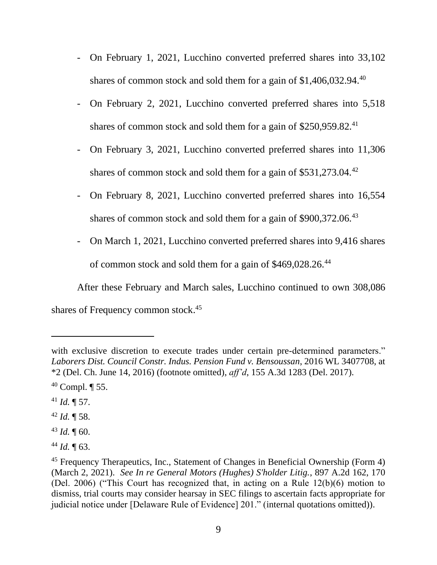- On February 1, 2021, Lucchino converted preferred shares into 33,102 shares of common stock and sold them for a gain of  $$1,406,032.94$ <sup>40</sup>
- On February 2, 2021, Lucchino converted preferred shares into 5,518 shares of common stock and sold them for a gain of  $$250,959.82$ <sup>41</sup>
- On February 3, 2021, Lucchino converted preferred shares into 11,306 shares of common stock and sold them for a gain of \$531,273.04.<sup>42</sup>
- On February 8, 2021, Lucchino converted preferred shares into 16,554 shares of common stock and sold them for a gain of \$900,372.06.<sup>43</sup>
- On March 1, 2021, Lucchino converted preferred shares into 9,416 shares of common stock and sold them for a gain of \$469,028.26.<sup>44</sup>

After these February and March sales, Lucchino continued to own 308,086 shares of Frequency common stock. 45

- $41$  *Id.*  $\P$  57.
- <sup>42</sup> *Id.* ¶ 58.
- <sup>43</sup> *Id.* ¶ 60.
- <sup>44</sup> *Id.* ¶ 63.

with exclusive discretion to execute trades under certain pre-determined parameters." *Laborers Dist. Council Constr. Indus. Pension Fund v. Bensoussan*, 2016 WL 3407708, at \*2 (Del. Ch. June 14, 2016) (footnote omitted), *aff'd*, 155 A.3d 1283 (Del. 2017).

 $40$  Compl.  $\P$  55.

<sup>&</sup>lt;sup>45</sup> Frequency Therapeutics, Inc., Statement of Changes in Beneficial Ownership (Form 4) (March 2, 2021). *See In re General Motors (Hughes) S'holder Litig.*, 897 A.2d 162, 170 (Del. 2006) ("This Court has recognized that, in acting on a Rule 12(b)(6) motion to dismiss, trial courts may consider hearsay in SEC filings to ascertain facts appropriate for judicial notice under [Delaware Rule of Evidence] 201." (internal quotations omitted)).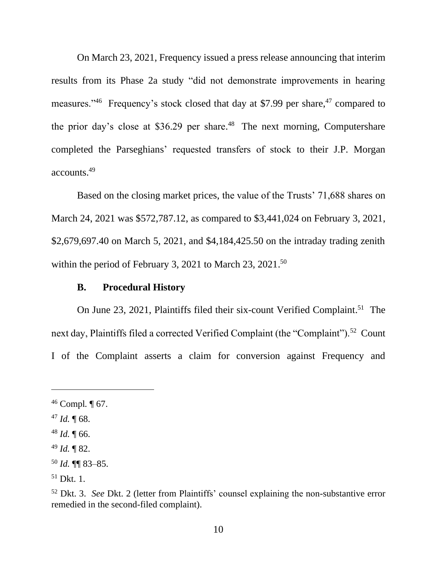On March 23, 2021, Frequency issued a press release announcing that interim results from its Phase 2a study "did not demonstrate improvements in hearing measures."<sup>46</sup> Frequency's stock closed that day at \$7.99 per share,  $47 \text{ compared to}$ the prior day's close at \$36.29 per share. <sup>48</sup> The next morning, Computershare completed the Parseghians' requested transfers of stock to their J.P. Morgan accounts. 49

Based on the closing market prices, the value of the Trusts' 71,688 shares on March 24, 2021 was \$572,787.12, as compared to \$3,441,024 on February 3, 2021, \$2,679,697.40 on March 5, 2021, and \$4,184,425.50 on the intraday trading zenith within the period of February 3, 2021 to March 23, 2021.<sup>50</sup>

#### **B. Procedural History**

On June 23, 2021, Plaintiffs filed their six-count Verified Complaint.<sup>51</sup> The next day, Plaintiffs filed a corrected Verified Complaint (the "Complaint").<sup>52</sup> Count I of the Complaint asserts a claim for conversion against Frequency and

 $49$  *Id.*  $\sqrt{82}$ .

<sup>46</sup> Compl*.* ¶ 67.

 $47$  *Id.*  $\P$  68.

<sup>48</sup> *Id.* ¶ 66.

<sup>50</sup> *Id.* ¶¶ 83–85.

 $51$  Dkt. 1.

<sup>52</sup> Dkt. 3. *See* Dkt. 2 (letter from Plaintiffs' counsel explaining the non-substantive error remedied in the second-filed complaint).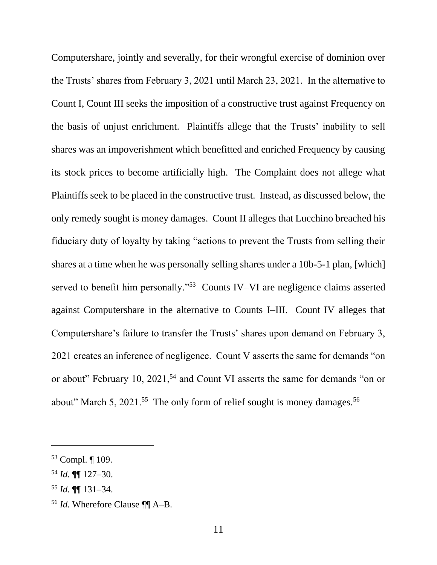Computershare, jointly and severally, for their wrongful exercise of dominion over the Trusts' shares from February 3, 2021 until March 23, 2021. In the alternative to Count I, Count III seeks the imposition of a constructive trust against Frequency on the basis of unjust enrichment. Plaintiffs allege that the Trusts' inability to sell shares was an impoverishment which benefitted and enriched Frequency by causing its stock prices to become artificially high. The Complaint does not allege what Plaintiffs seek to be placed in the constructive trust. Instead, as discussed below, the only remedy sought is money damages. Count II alleges that Lucchino breached his fiduciary duty of loyalty by taking "actions to prevent the Trusts from selling their shares at a time when he was personally selling shares under a 10b-5-1 plan, [which] served to benefit him personally."<sup>53</sup> Counts IV–VI are negligence claims asserted against Computershare in the alternative to Counts I–III. Count IV alleges that Computershare's failure to transfer the Trusts' shares upon demand on February 3, 2021 creates an inference of negligence. Count V asserts the same for demands "on or about" February 10, 2021,<sup>54</sup> and Count VI asserts the same for demands "on or about" March 5, 2021.<sup>55</sup> The only form of relief sought is money damages.<sup>56</sup>

<sup>53</sup> Compl. ¶ 109.

<sup>54</sup> *Id.* ¶¶ 127–30.

<sup>55</sup> *Id.* ¶¶ 131–34.

<sup>56</sup> *Id.* Wherefore Clause ¶¶ A–B.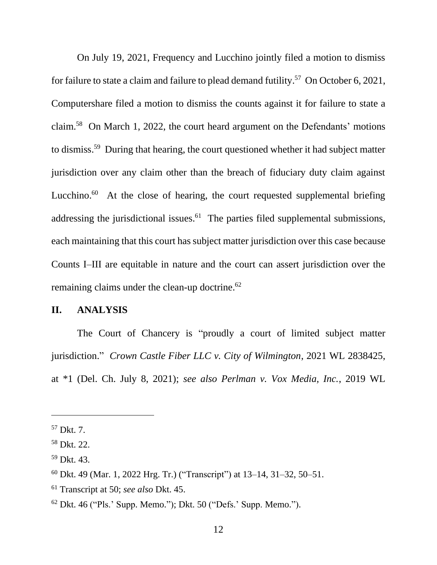On July 19, 2021, Frequency and Lucchino jointly filed a motion to dismiss for failure to state a claim and failure to plead demand futility.<sup>57</sup> On October 6, 2021, Computershare filed a motion to dismiss the counts against it for failure to state a claim.<sup>58</sup> On March 1, 2022, the court heard argument on the Defendants' motions to dismiss. <sup>59</sup> During that hearing, the court questioned whether it had subject matter jurisdiction over any claim other than the breach of fiduciary duty claim against Lucchino.<sup>60</sup> At the close of hearing, the court requested supplemental briefing addressing the jurisdictional issues.<sup>61</sup> The parties filed supplemental submissions, each maintaining that this court has subject matter jurisdiction over this case because Counts I–III are equitable in nature and the court can assert jurisdiction over the remaining claims under the clean-up doctrine.<sup>62</sup>

### **II. ANALYSIS**

The Court of Chancery is "proudly a court of limited subject matter jurisdiction." *Crown Castle Fiber LLC v. City of Wilmington*, 2021 WL 2838425, at \*1 (Del. Ch. July 8, 2021); *see also Perlman v. Vox Media, Inc.*, 2019 WL

<sup>57</sup> Dkt. 7.

<sup>58</sup> Dkt. 22.

<sup>59</sup> Dkt. 43.

<sup>60</sup> Dkt. 49 (Mar. 1, 2022 Hrg. Tr.) ("Transcript") at 13–14, 31–32, 50–51.

<sup>61</sup> Transcript at 50; *see also* Dkt. 45.

<sup>62</sup> Dkt. 46 ("Pls.' Supp. Memo."); Dkt. 50 ("Defs.' Supp. Memo.").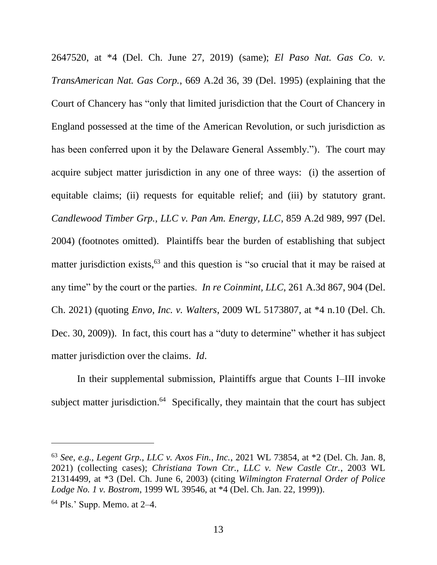2647520, at \*4 (Del. Ch. June 27, 2019) (same); *El Paso Nat. Gas Co. v. TransAmerican Nat. Gas Corp.*, 669 A.2d 36, 39 (Del. 1995) (explaining that the Court of Chancery has "only that limited jurisdiction that the Court of Chancery in England possessed at the time of the American Revolution, or such jurisdiction as has been conferred upon it by the Delaware General Assembly."). The court may acquire subject matter jurisdiction in any one of three ways: (i) the assertion of equitable claims; (ii) requests for equitable relief; and (iii) by statutory grant. *Candlewood Timber Grp., LLC v. Pan Am. Energy, LLC*, 859 A.2d 989, 997 (Del. 2004) (footnotes omitted). Plaintiffs bear the burden of establishing that subject matter jurisdiction exists,<sup>63</sup> and this question is "so crucial that it may be raised at any time" by the court or the parties. *In re Coinmint, LLC*, 261 A.3d 867, 904 (Del. Ch. 2021) (quoting *Envo, Inc. v. Walters*, 2009 WL 5173807, at \*4 n.10 (Del. Ch. Dec. 30, 2009)). In fact, this court has a "duty to determine" whether it has subject matter jurisdiction over the claims. *Id*.

In their supplemental submission, Plaintiffs argue that Counts I–III invoke subject matter jurisdiction.<sup>64</sup> Specifically, they maintain that the court has subject

<sup>63</sup> *See, e.g., Legent Grp., LLC v. Axos Fin., Inc.*, 2021 WL 73854, at \*2 (Del. Ch. Jan. 8, 2021) (collecting cases); *Christiana Town Ctr., LLC v. New Castle Ctr.*, 2003 WL 21314499, at \*3 (Del. Ch. June 6, 2003) (citing *Wilmington Fraternal Order of Police Lodge No. 1 v. Bostrom*, 1999 WL 39546, at \*4 (Del. Ch. Jan. 22, 1999)).

<sup>64</sup> Pls.' Supp. Memo. at 2–4.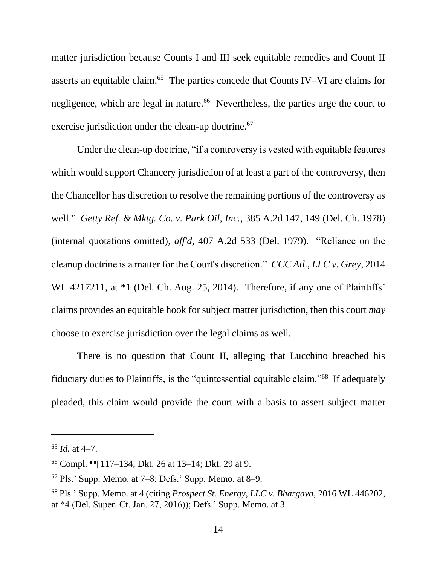matter jurisdiction because Counts I and III seek equitable remedies and Count II asserts an equitable claim. 65 The parties concede that Counts IV–VI are claims for negligence, which are legal in nature.<sup>66</sup> Nevertheless, the parties urge the court to exercise jurisdiction under the clean-up doctrine.<sup>67</sup>

Under the clean-up doctrine, "if a controversy is vested with equitable features which would support Chancery jurisdiction of at least a part of the controversy, then the Chancellor has discretion to resolve the remaining portions of the controversy as well." *Getty Ref. & Mktg. Co. v. Park Oil, Inc.*, 385 A.2d 147, 149 (Del. Ch. 1978) (internal quotations omitted), *aff'd*, 407 A.2d 533 (Del. 1979). "Reliance on the cleanup doctrine is a matter for the Court's discretion." *CCC Atl., LLC v. Grey*, 2014 WL 4217211, at  $*1$  (Del. Ch. Aug. 25, 2014). Therefore, if any one of Plaintiffs' claims provides an equitable hook for subject matter jurisdiction, then this court *may* choose to exercise jurisdiction over the legal claims as well.

There is no question that Count II, alleging that Lucchino breached his fiduciary duties to Plaintiffs, is the "quintessential equitable claim."<sup>68</sup> If adequately pleaded, this claim would provide the court with a basis to assert subject matter

 $65$  *Id.* at 4–7.

<sup>66</sup> Compl. ¶¶ 117–134; Dkt. 26 at 13–14; Dkt. 29 at 9.

 $67$  Pls.' Supp. Memo. at  $7-8$ ; Defs.' Supp. Memo. at 8–9.

<sup>68</sup> Pls.' Supp. Memo. at 4 (citing *Prospect St. Energy, LLC v. Bhargava*, 2016 WL 446202, at \*4 (Del. Super. Ct. Jan. 27, 2016)); Defs.' Supp. Memo. at 3.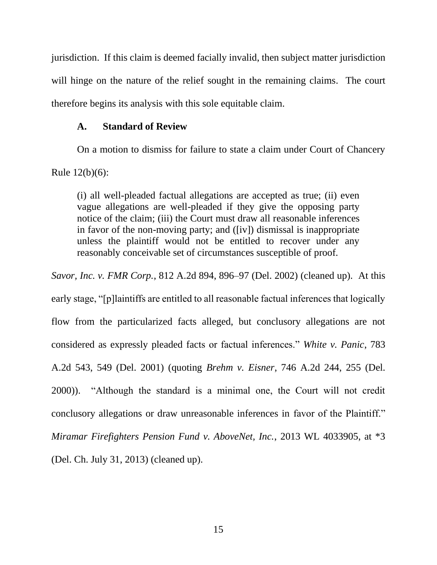jurisdiction. If this claim is deemed facially invalid, then subject matter jurisdiction will hinge on the nature of the relief sought in the remaining claims. The court therefore begins its analysis with this sole equitable claim.

## **A. Standard of Review**

On a motion to dismiss for failure to state a claim under Court of Chancery

Rule 12(b)(6):

(i) all well-pleaded factual allegations are accepted as true; (ii) even vague allegations are well-pleaded if they give the opposing party notice of the claim; (iii) the Court must draw all reasonable inferences in favor of the non-moving party; and ([iv]) dismissal is inappropriate unless the plaintiff would not be entitled to recover under any reasonably conceivable set of circumstances susceptible of proof.

*Savor, Inc. v. FMR Corp.*, 812 A.2d 894, 896–97 (Del. 2002) (cleaned up). At this early stage, "[p]laintiffs are entitled to all reasonable factual inferences that logically flow from the particularized facts alleged, but conclusory allegations are not considered as expressly pleaded facts or factual inferences." *White v. Panic*, 783 A.2d 543, 549 (Del. 2001) (quoting *Brehm v. Eisner*, 746 A.2d 244, 255 (Del. 2000)). "Although the standard is a minimal one, the Court will not credit conclusory allegations or draw unreasonable inferences in favor of the Plaintiff." *Miramar Firefighters Pension Fund v. AboveNet, Inc.*, 2013 WL 4033905, at \*3 (Del. Ch. July 31, 2013) (cleaned up).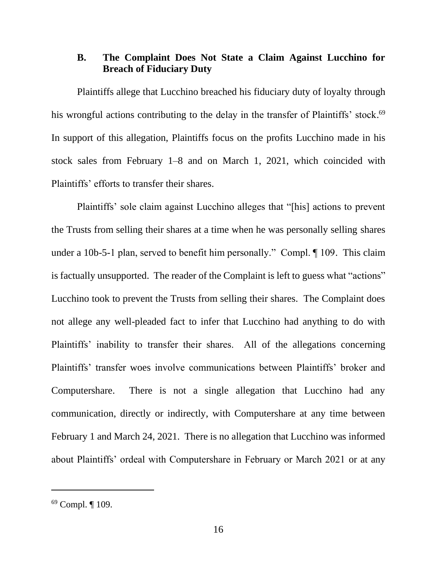# **B. The Complaint Does Not State a Claim Against Lucchino for Breach of Fiduciary Duty**

Plaintiffs allege that Lucchino breached his fiduciary duty of loyalty through his wrongful actions contributing to the delay in the transfer of Plaintiffs' stock.<sup>69</sup> In support of this allegation, Plaintiffs focus on the profits Lucchino made in his stock sales from February 1–8 and on March 1, 2021, which coincided with Plaintiffs' efforts to transfer their shares.

Plaintiffs' sole claim against Lucchino alleges that "[his] actions to prevent the Trusts from selling their shares at a time when he was personally selling shares under a 10b-5-1 plan, served to benefit him personally." Compl. ¶ 109. This claim is factually unsupported. The reader of the Complaint is left to guess what "actions" Lucchino took to prevent the Trusts from selling their shares. The Complaint does not allege any well-pleaded fact to infer that Lucchino had anything to do with Plaintiffs' inability to transfer their shares. All of the allegations concerning Plaintiffs' transfer woes involve communications between Plaintiffs' broker and Computershare. There is not a single allegation that Lucchino had any communication, directly or indirectly, with Computershare at any time between February 1 and March 24, 2021. There is no allegation that Lucchino was informed about Plaintiffs' ordeal with Computershare in February or March 2021 or at any

<sup>69</sup> Compl. ¶ 109.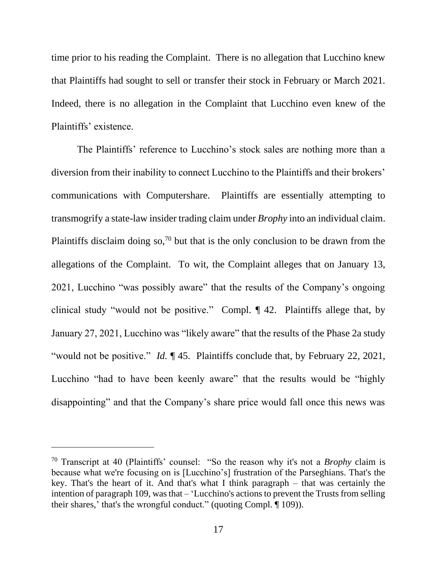time prior to his reading the Complaint. There is no allegation that Lucchino knew that Plaintiffs had sought to sell or transfer their stock in February or March 2021. Indeed, there is no allegation in the Complaint that Lucchino even knew of the Plaintiffs' existence.

The Plaintiffs' reference to Lucchino's stock sales are nothing more than a diversion from their inability to connect Lucchino to the Plaintiffs and their brokers' communications with Computershare. Plaintiffs are essentially attempting to transmogrify a state-law insider trading claim under *Brophy* into an individual claim. Plaintiffs disclaim doing so,<sup>70</sup> but that is the only conclusion to be drawn from the allegations of the Complaint. To wit, the Complaint alleges that on January 13, 2021, Lucchino "was possibly aware" that the results of the Company's ongoing clinical study "would not be positive." Compl. ¶ 42. Plaintiffs allege that, by January 27, 2021, Lucchino was "likely aware" that the results of the Phase 2a study "would not be positive." *Id.* ¶ 45. Plaintiffs conclude that, by February 22, 2021, Lucchino "had to have been keenly aware" that the results would be "highly disappointing" and that the Company's share price would fall once this news was

<sup>70</sup> Transcript at 40 (Plaintiffs' counsel: "So the reason why it's not a *Brophy* claim is because what we're focusing on is [Lucchino's] frustration of the Parseghians. That's the key. That's the heart of it. And that's what I think paragraph – that was certainly the intention of paragraph 109, was that – 'Lucchino's actions to prevent the Trusts from selling their shares,' that's the wrongful conduct." (quoting Compl. ¶ 109)).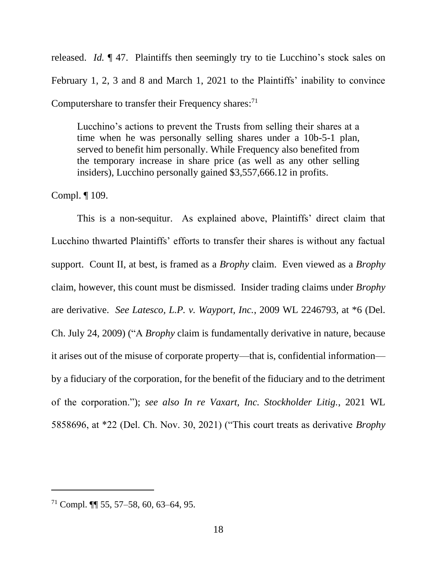released. *Id.* ¶ 47. Plaintiffs then seemingly try to tie Lucchino's stock sales on February 1, 2, 3 and 8 and March 1, 2021 to the Plaintiffs' inability to convince Computershare to transfer their Frequency shares:<sup>71</sup>

Lucchino's actions to prevent the Trusts from selling their shares at a time when he was personally selling shares under a 10b-5-1 plan, served to benefit him personally. While Frequency also benefited from the temporary increase in share price (as well as any other selling insiders), Lucchino personally gained \$3,557,666.12 in profits.

Compl. ¶ 109.

This is a non-sequitur. As explained above, Plaintiffs' direct claim that Lucchino thwarted Plaintiffs' efforts to transfer their shares is without any factual support. Count II, at best, is framed as a *Brophy* claim. Even viewed as a *Brophy* claim, however, this count must be dismissed. Insider trading claims under *Brophy* are derivative. *See Latesco, L.P. v. Wayport, Inc.*, 2009 WL 2246793, at \*6 (Del. Ch. July 24, 2009) ("A *Brophy* claim is fundamentally derivative in nature, because it arises out of the misuse of corporate property—that is, confidential information by a fiduciary of the corporation, for the benefit of the fiduciary and to the detriment of the corporation."); *see also In re Vaxart, Inc. Stockholder Litig.*, 2021 WL 5858696, at \*22 (Del. Ch. Nov. 30, 2021) ("This court treats as derivative *Brophy*

 $71$  Compl. **[1]** 55, 57–58, 60, 63–64, 95.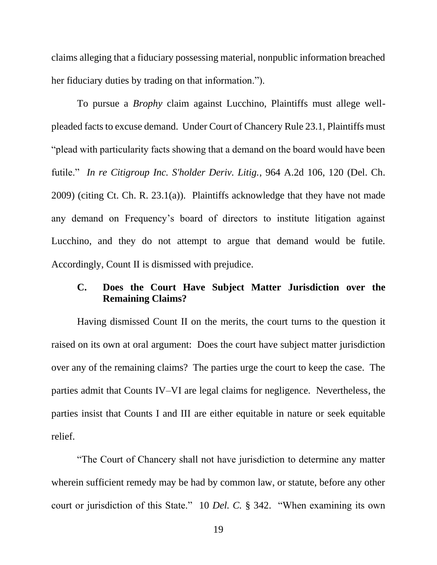claims alleging that a fiduciary possessing material, nonpublic information breached her fiduciary duties by trading on that information.").

To pursue a *Brophy* claim against Lucchino, Plaintiffs must allege wellpleaded facts to excuse demand. Under Court of Chancery Rule 23.1, Plaintiffs must "plead with particularity facts showing that a demand on the board would have been futile." *In re Citigroup Inc. S'holder Deriv. Litig.*, 964 A.2d 106, 120 (Del. Ch. 2009) (citing Ct. Ch. R. 23.1(a)). Plaintiffs acknowledge that they have not made any demand on Frequency's board of directors to institute litigation against Lucchino, and they do not attempt to argue that demand would be futile. Accordingly, Count II is dismissed with prejudice.

# **C. Does the Court Have Subject Matter Jurisdiction over the Remaining Claims?**

Having dismissed Count II on the merits, the court turns to the question it raised on its own at oral argument: Does the court have subject matter jurisdiction over any of the remaining claims? The parties urge the court to keep the case. The parties admit that Counts IV–VI are legal claims for negligence. Nevertheless, the parties insist that Counts I and III are either equitable in nature or seek equitable relief.

"The Court of Chancery shall not have jurisdiction to determine any matter wherein sufficient remedy may be had by common law, or statute, before any other court or jurisdiction of this State." 10 *Del. C.* § 342. "When examining its own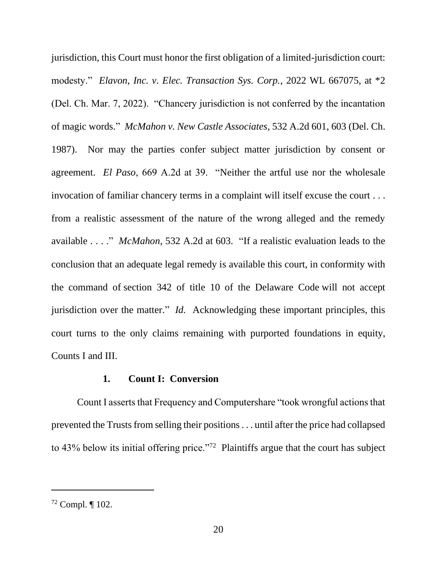jurisdiction, this Court must honor the first obligation of a limited-jurisdiction court: modesty." *Elavon, Inc. v. Elec. Transaction Sys. Corp.*, 2022 WL 667075, at \*2 (Del. Ch. Mar. 7, 2022). "Chancery jurisdiction is not conferred by the incantation of magic words." *McMahon v. New Castle Associates*, 532 A.2d 601, 603 (Del. Ch. 1987). Nor may the parties confer subject matter jurisdiction by consent or agreement. *El Paso*, 669 A.2d at 39. "Neither the artful use nor the wholesale invocation of familiar chancery terms in a complaint will itself excuse the court . . . from a realistic assessment of the nature of the wrong alleged and the remedy available . . . ." *McMahon*, 532 A.2d at 603. "If a realistic evaluation leads to the conclusion that an adequate legal remedy is available this court, in conformity with the command of section 342 of title 10 of the [Delaware](https://1.next.westlaw.com/Link/Document/FullText?findType=L&pubNum=1000005&cite=DESTT10S342&originatingDoc=I71596b9a34de11d9abe5ec754599669c&refType=LQ&originationContext=document&transitionType=DocumentItem&ppcid=11e4908c57254b408b4a320014eabde0&contextData=(sc.Search)) Code will not accept jurisdiction over the matter." *Id.* Acknowledging these important principles, this court turns to the only claims remaining with purported foundations in equity, Counts I and III.

#### **1. Count I: Conversion**

Count I asserts that Frequency and Computershare "took wrongful actions that prevented the Trusts from selling their positions . . . until after the price had collapsed to  $43\%$  below its initial offering price."<sup>72</sup> Plaintiffs argue that the court has subject

<sup>72</sup> Compl. ¶ 102.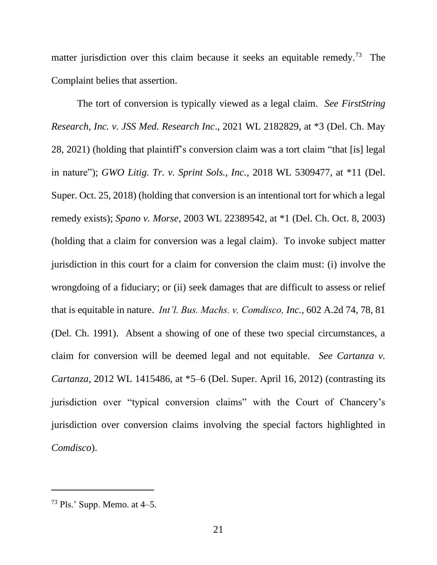matter jurisdiction over this claim because it seeks an equitable remedy.<sup>73</sup> The Complaint belies that assertion.

The tort of conversion is typically viewed as a legal claim. *See FirstString Research, Inc. v. JSS Med. Research Inc*., 2021 WL 2182829, at \*3 (Del. Ch. May 28, 2021) (holding that plaintiff's conversion claim was a tort claim "that [is] legal in nature"); *GWO Litig. Tr. v. Sprint Sols., Inc.*, 2018 WL 5309477, at \*11 (Del. Super. Oct. 25, 2018) (holding that conversion is an intentional tort for which a legal remedy exists); *Spano v. Morse*, 2003 WL 22389542, at \*1 (Del. Ch. Oct. 8, 2003) (holding that a claim for conversion was a legal claim). To invoke subject matter jurisdiction in this court for a claim for conversion the claim must: (i) involve the wrongdoing of a fiduciary; or (ii) seek damages that are difficult to assess or relief that is equitable in nature. *Int'l. Bus. Machs. v. Comdisco, Inc.*, 602 A.2d 74, 78, 81 (Del. Ch. 1991). Absent a showing of one of these two special circumstances, a claim for conversion will be deemed legal and not equitable. *See Cartanza v. Cartanza*, 2012 WL 1415486, at \*5–6 (Del. Super. April 16, 2012) (contrasting its jurisdiction over "typical conversion claims" with the Court of Chancery's jurisdiction over conversion claims involving the special factors highlighted in *Comdisco*).

 $73$  Pls.' Supp. Memo. at 4–5.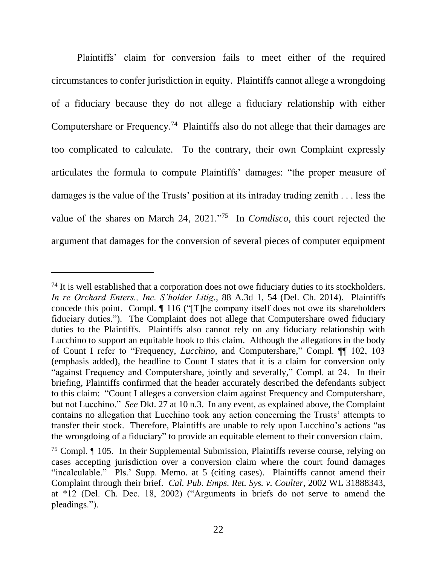Plaintiffs' claim for conversion fails to meet either of the required circumstances to confer jurisdiction in equity. Plaintiffs cannot allege a wrongdoing of a fiduciary because they do not allege a fiduciary relationship with either Computershare or Frequency.<sup>74</sup> Plaintiffs also do not allege that their damages are too complicated to calculate. To the contrary, their own Complaint expressly articulates the formula to compute Plaintiffs' damages: "the proper measure of damages is the value of the Trusts' position at its intraday trading zenith . . . less the value of the shares on March 24, 2021."<sup>75</sup> In *Comdisco*, this court rejected the argument that damages for the conversion of several pieces of computer equipment

 $74$  It is well established that a corporation does not owe fiduciary duties to its stockholders. *In re Orchard Enters., Inc. S'holder Litig*., 88 A.3d 1, 54 (Del. Ch. 2014). Plaintiffs concede this point. Compl. ¶ 116 ("[T]he company itself does not owe its shareholders fiduciary duties."). The Complaint does not allege that Computershare owed fiduciary duties to the Plaintiffs. Plaintiffs also cannot rely on any fiduciary relationship with Lucchino to support an equitable hook to this claim. Although the allegations in the body of Count I refer to "Frequency, *Lucchino*, and Computershare," Compl. ¶¶ 102, 103 (emphasis added), the headline to Count I states that it is a claim for conversion only "against Frequency and Computershare, jointly and severally," Compl. at 24. In their briefing, Plaintiffs confirmed that the header accurately described the defendants subject to this claim: "Count I alleges a conversion claim against Frequency and Computershare, but not Lucchino." *See* Dkt. 27 at 10 n.3. In any event, as explained above, the Complaint contains no allegation that Lucchino took any action concerning the Trusts' attempts to transfer their stock. Therefore, Plaintiffs are unable to rely upon Lucchino's actions "as the wrongdoing of a fiduciary" to provide an equitable element to their conversion claim.

<sup>&</sup>lt;sup>75</sup> Compl.  $\P$  105. In their Supplemental Submission, Plaintiffs reverse course, relying on cases accepting jurisdiction over a conversion claim where the court found damages "incalculable." Pls.' Supp. Memo. at 5 (citing cases). Plaintiffs cannot amend their Complaint through their brief. *Cal. Pub. Emps. Ret. Sys. v. Coulter*, 2002 WL 31888343, at \*12 (Del. Ch. Dec. 18, 2002) ("Arguments in briefs do not serve to amend the pleadings.").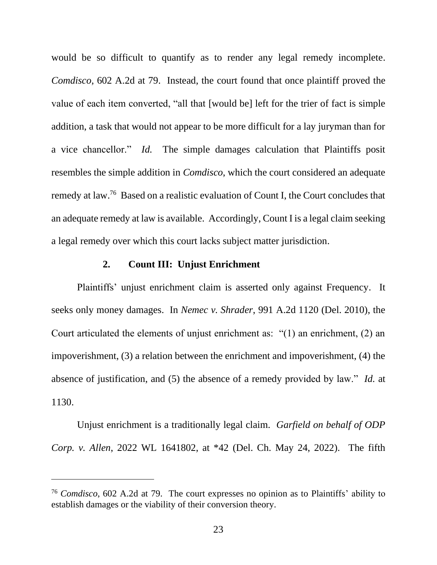would be so difficult to quantify as to render any legal remedy incomplete. *Comdisco*, 602 A.2d at 79. Instead, the court found that once plaintiff proved the value of each item converted, "all that [would be] left for the trier of fact is simple addition, a task that would not appear to be more difficult for a lay juryman than for a vice chancellor." *Id.* The simple damages calculation that Plaintiffs posit resembles the simple addition in *Comdisco*, which the court considered an adequate remedy at law. 76 Based on a realistic evaluation of Count I, the Court concludes that an adequate remedy at law is available. Accordingly, Count I is a legal claim seeking a legal remedy over which this court lacks subject matter jurisdiction.

### **2. Count III: Unjust Enrichment**

Plaintiffs' unjust enrichment claim is asserted only against Frequency. It seeks only money damages. In *Nemec v. Shrader*, 991 A.2d 1120 (Del. 2010), the Court articulated the elements of unjust enrichment as: "(1) an enrichment, (2) an impoverishment, (3) a relation between the enrichment and impoverishment, (4) the absence of justification, and (5) the absence of a remedy provided by law." *Id.* at 1130.

Unjust enrichment is a traditionally legal claim. *Garfield on behalf of ODP Corp. v. Allen*, 2022 WL 1641802, at \*42 (Del. Ch. May 24, 2022). The fifth

<sup>76</sup> *Comdisco*, 602 A.2d at 79. The court expresses no opinion as to Plaintiffs' ability to establish damages or the viability of their conversion theory.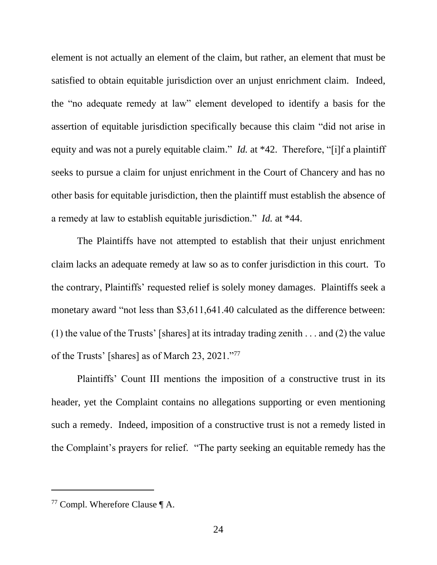element is not actually an element of the claim, but rather, an element that must be satisfied to obtain equitable jurisdiction over an unjust enrichment claim. Indeed, the "no adequate remedy at law" element developed to identify a basis for the assertion of equitable jurisdiction specifically because this claim "did not arise in equity and was not a purely equitable claim." *Id.* at \*42. Therefore, "[i]f a plaintiff seeks to pursue a claim for unjust enrichment in the Court of Chancery and has no other basis for equitable jurisdiction, then the plaintiff must establish the absence of a remedy at law to establish equitable jurisdiction." *Id.* at \*44.

The Plaintiffs have not attempted to establish that their unjust enrichment claim lacks an adequate remedy at law so as to confer jurisdiction in this court. To the contrary, Plaintiffs' requested relief is solely money damages. Plaintiffs seek a monetary award "not less than \$3,611,641.40 calculated as the difference between: (1) the value of the Trusts' [shares] at its intraday trading zenith . . . and (2) the value of the Trusts' [shares] as of March 23, 2021."<sup>77</sup>

Plaintiffs' Count III mentions the imposition of a constructive trust in its header, yet the Complaint contains no allegations supporting or even mentioning such a remedy. Indeed, imposition of a constructive trust is not a remedy listed in the Complaint's prayers for relief. "The party seeking an equitable remedy has the

<sup>77</sup> Compl. Wherefore Clause ¶ A.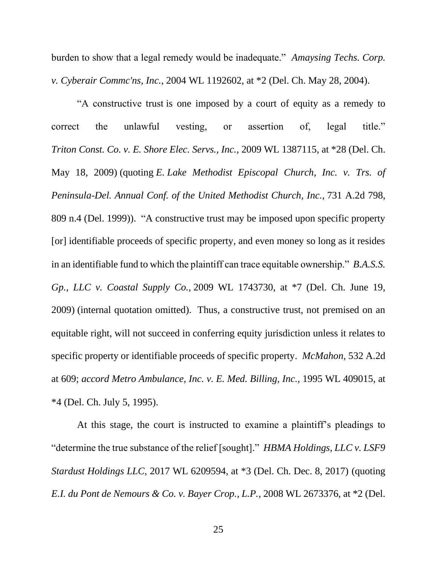burden to show that a legal remedy would be inadequate." *Amaysing Techs. Corp. v. Cyberair Commc'ns, Inc.*, 2004 WL 1192602, at \*2 (Del. Ch. May 28, 2004).

"A constructive trust is one imposed by a court of equity as a remedy to correct the unlawful vesting, or assertion of, legal title." *Triton Const. Co. v. E. Shore Elec. Servs., Inc.,* 2009 WL 1387115, at \*28 (Del. Ch. May 18, 2009) (quoting *E. Lake Methodist Episcopal Church, Inc. v. Trs. of Peninsula-Del. Annual Conf. of the United Methodist Church, Inc.,* 731 A.2d 798, 809 n.4 (Del. 1999)). "A constructive trust may be imposed upon specific property [or] identifiable proceeds of specific property, and even money so long as it resides in an identifiable fund to which the plaintiff can trace equitable ownership." *B.A.S.S. Gp., LLC v. Coastal Supply Co.,* 2009 WL 1743730, at \*7 (Del. Ch. June 19, 2009) (internal quotation omitted). Thus, a constructive trust, not premised on an equitable right, will not succeed in conferring equity jurisdiction unless it relates to specific property or identifiable proceeds of specific property. *McMahon,* 532 A.2d at 609; *accord Metro Ambulance, Inc. v. E. Med. Billing, Inc.,* 1995 WL 409015, at \*4 (Del. Ch. July 5, 1995).

At this stage, the court is instructed to examine a plaintiff's pleadings to "determine the true substance of the relief [sought]." *HBMA Holdings, LLC v. LSF9 Stardust Holdings LLC*, 2017 WL 6209594, at \*3 (Del. Ch. Dec. 8, 2017) (quoting *E.I. du Pont de Nemours & Co. v. Bayer Crop., L.P.*, 2008 WL 2673376, at \*2 (Del.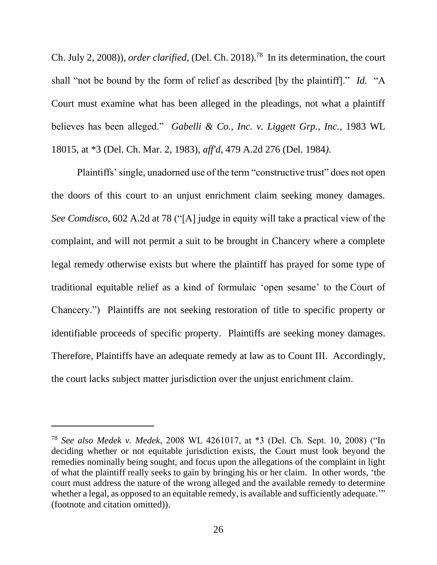Ch. July 2, 2008)), *order clarified*, (Del. Ch. 2018). 78 In its determination, the court shall "not be bound by the form of relief as described [by the plaintiff]." *Id.* "A Court must examine what has been alleged in the pleadings, not what a plaintiff believes has been alleged." *Gabelli & Co., Inc. v. Liggett Grp., Inc.*, 1983 WL 18015, at \*3 (Del. Ch. Mar. 2, 1983), *aff'd*, 479 A.2d 276 (Del. 1984*).*

Plaintiffs' single, unadorned use of the term "constructive trust" does not open the doors of this court to an unjust enrichment claim seeking money damages. *See Comdisco*, 602 A.2d at 78 ("[A] judge in equity will take a practical view of the complaint, and will not permit a suit to be brought in Chancery where a complete legal remedy otherwise exists but where the plaintiff has prayed for some type of traditional equitable relief as a kind of formulaic 'open sesame' to the Court of Chancery.") Plaintiffs are not seeking restoration of title to specific property or identifiable proceeds of specific property. Plaintiffs are seeking money damages. Therefore, Plaintiffs have an adequate remedy at law as to Count III. Accordingly, the court lacks subject matter jurisdiction over the unjust enrichment claim.

<sup>78</sup> *See also Medek v. Medek*, 2008 WL 4261017, at \*3 (Del. Ch. Sept. 10, 2008) ("In deciding whether or not equitable jurisdiction exists, the Court must look beyond the remedies nominally being sought, and focus upon the allegations of the complaint in light of what the plaintiff really seeks to gain by bringing his or her claim. In other words, 'the court must address the nature of the wrong alleged and the available remedy to determine whether a legal, as opposed to an equitable remedy, is available and sufficiently adequate." (footnote and citation omitted)).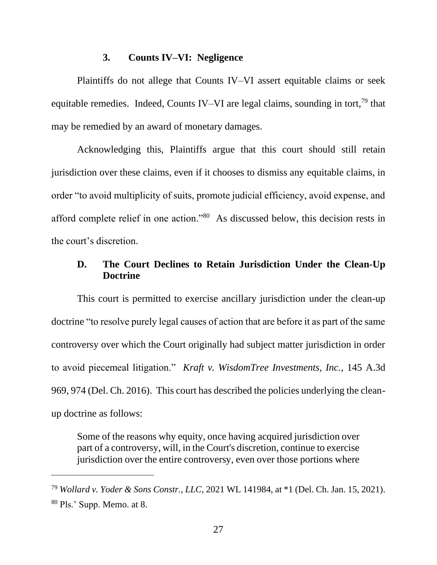#### **3. Counts IV–VI: Negligence**

Plaintiffs do not allege that Counts IV–VI assert equitable claims or seek equitable remedies. Indeed, Counts IV–VI are legal claims, sounding in tort,<sup>79</sup> that may be remedied by an award of monetary damages.

Acknowledging this, Plaintiffs argue that this court should still retain jurisdiction over these claims, even if it chooses to dismiss any equitable claims, in order "to avoid multiplicity of suits, promote judicial efficiency, avoid expense, and afford complete relief in one action."<sup>80</sup> As discussed below, this decision rests in the court's discretion.

## **D. The Court Declines to Retain Jurisdiction Under the Clean-Up Doctrine**

This court is permitted to exercise ancillary jurisdiction under the clean-up doctrine "to resolve purely legal causes of action that are before it as part of the same controversy over which the Court originally had subject matter jurisdiction in order to avoid piecemeal litigation." *Kraft v. WisdomTree Investments, Inc.*, 145 A.3d 969, 974 (Del. Ch. 2016). This court has described the policies underlying the cleanup doctrine as follows:

Some of the reasons why equity, once having acquired jurisdiction over part of a controversy, will, in the Court's discretion, continue to exercise jurisdiction over the entire controversy, even over those portions where

<sup>79</sup> *Wollard v. Yoder & Sons Constr., LLC*, 2021 WL 141984, at \*1 (Del. Ch. Jan. 15, 2021). <sup>80</sup> Pls.' Supp. Memo. at 8.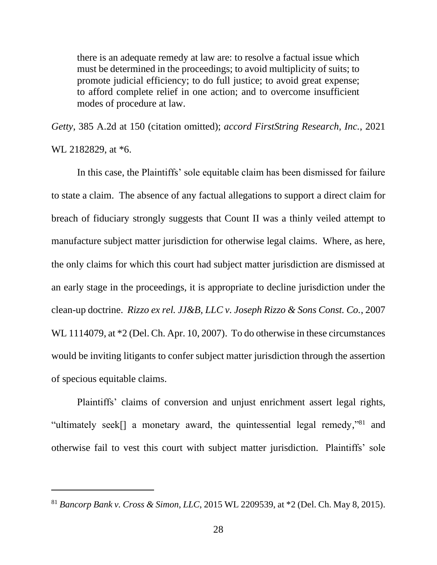there is an adequate remedy at law are: to resolve a factual issue which must be determined in the proceedings; to avoid multiplicity of suits; to promote judicial efficiency; to do full justice; to avoid great expense; to afford complete relief in one action; and to overcome insufficient modes of procedure at law.

*Getty*, 385 A.2d at 150 (citation omitted); *accord FirstString Research, Inc.*, 2021 WL 2182829, at  $*6$ .

In this case, the Plaintiffs' sole equitable claim has been dismissed for failure to state a claim. The absence of any factual allegations to support a direct claim for breach of fiduciary strongly suggests that Count II was a thinly veiled attempt to manufacture subject matter jurisdiction for otherwise legal claims. Where, as here, the only claims for which this court had subject matter jurisdiction are dismissed at an early stage in the proceedings, it is appropriate to decline jurisdiction under the clean-up doctrine. *Rizzo ex rel. JJ&B, LLC v. Joseph Rizzo & Sons Const. Co.*, 2007 WL 1114079, at  $*2$  (Del. Ch. Apr. 10, 2007). To do otherwise in these circumstances would be inviting litigants to confer subject matter jurisdiction through the assertion of specious equitable claims.

Plaintiffs' claims of conversion and unjust enrichment assert legal rights, "ultimately seek[] a monetary award, the quintessential legal remedy,"<sup>81</sup> and otherwise fail to vest this court with subject matter jurisdiction. Plaintiffs' sole

<sup>81</sup> *Bancorp Bank v. Cross & Simon, LLC*, 2015 WL 2209539, at \*2 (Del. Ch. May 8, 2015).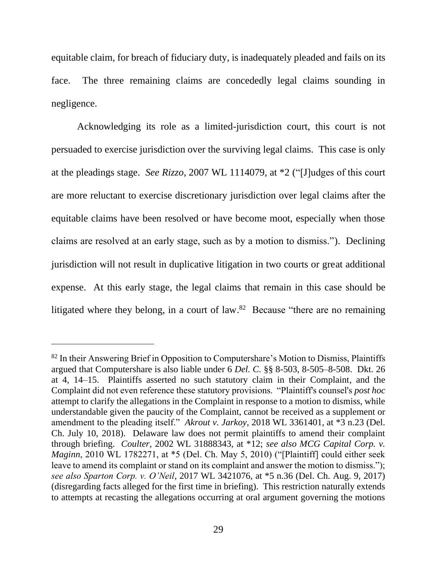equitable claim, for breach of fiduciary duty, is inadequately pleaded and fails on its face. The three remaining claims are concededly legal claims sounding in negligence.

Acknowledging its role as a limited-jurisdiction court, this court is not persuaded to exercise jurisdiction over the surviving legal claims. This case is only at the pleadings stage. *See Rizzo*, 2007 WL 1114079, at \*2 ("[J]udges of this court are more reluctant to exercise discretionary jurisdiction over legal claims after the equitable claims have been resolved or have become moot, especially when those claims are resolved at an early stage, such as by a motion to dismiss."). Declining jurisdiction will not result in duplicative litigation in two courts or great additional expense. At this early stage, the legal claims that remain in this case should be litigated where they belong, in a court of law.<sup>82</sup> Because "there are no remaining

<sup>&</sup>lt;sup>82</sup> In their Answering Brief in Opposition to Computershare's Motion to Dismiss, Plaintiffs argued that Computershare is also liable under 6 *Del. C.* §§ 8-503, 8-505–8-508. Dkt. 26 at 4, 14–15. Plaintiffs asserted no such statutory claim in their Complaint, and the Complaint did not even reference these statutory provisions. "Plaintiff's counsel's *post hoc* attempt to clarify the allegations in the Complaint in response to a motion to dismiss, while understandable given the paucity of the Complaint, cannot be received as a supplement or amendment to the pleading itself." *Akrout v. Jarkoy*, 2018 WL 3361401, at \*3 n.23 (Del. Ch. July 10, 2018). Delaware law does not permit plaintiffs to amend their complaint through briefing. *Coulter*, 2002 WL 31888343, at \*12; *see also MCG Capital Corp. v. Maginn*, 2010 WL 1782271, at \*5 (Del. Ch. May 5, 2010) ("[Plaintiff] could either seek leave to amend its complaint or stand on its complaint and answer the motion to dismiss."); *see also Sparton Corp. v. O'Neil*, 2017 WL 3421076, at \*5 n.36 (Del. Ch. Aug. 9, 2017) (disregarding facts alleged for the first time in briefing). This restriction naturally extends to attempts at recasting the allegations occurring at oral argument governing the motions